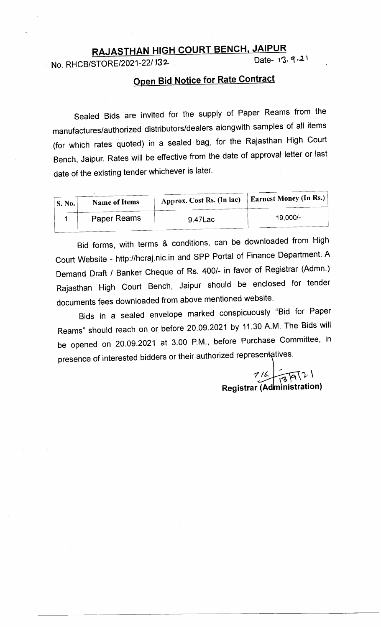# RAJASTHAN HIGH COURT BENCH, JAIPUR<br>STORE(2021-22/132)

No. RHCB/STORE/2021-22/ J32

## **Open Bid Notice for Rate Contract**

sealed Bids are invited for the supply of Paper Reams from the manufactures/authorized distributors/dealers alongwith samples of all items (for which rates quoted) in a sealed bag, for the Rajasthan High court Bench, Jaipur. Rates will be effective from the date of approval letter or last date of the existing tender whichever is later.

| S. No. | <b>Name of Items</b> | Approx. Cost Rs. (In lac) | <b>Earnest Money (In Rs.)</b> |
|--------|----------------------|---------------------------|-------------------------------|
|        | Paper Reams          | 9.47Lac                   | 19,000/-                      |

Bid forms, with terms & conditions, can be downloaded from High Court Website - http://hcraj.nic.in and SPP Portal of Finance Department. A Demand Draft / Banker Cheque of Rs. 400/- in favor of Registrar (Admn.) Rajasthan High court Bench, Jaipur should be enclosed for tender documents fees downloaded from above mentioned website.

Bids in a sealed envelope marked conspicuously "Bid for Paper Reams" should reach on or before 20.09.2021 by 11.30 A.M. The Bids will be opened on 20.09.2021 at 3.00 P.M., before Purchase Committee, in presence of interested bidders or their authorized representatives.

 $7/6$ <br>r (Administratic Registrar (Administration)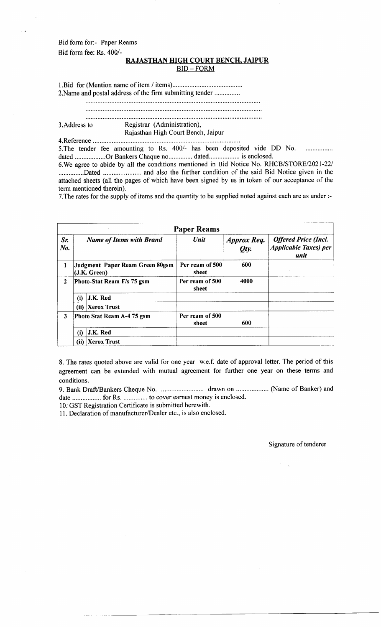Bid form for:- Paper Reams Bid form fee: Rs.400/-

#### RAJASTHAN HIGH COURT BENCH, JAIPUR  $BID - FORM$

l.Bid for (Mention name of item / items)....... 2.Name and postal address of the firm submitting tender ....

#### 3.Address to Registrar (Administration), Rajasthan High Court Bench, Jaipur 4.Reference

5. The tender fee amounting to Rs. 400/- has been deposited vide DD No. . . . . . . . . . . . . . . . . . dated ..................Or Bankers Chaque no............... dated................... is enclosed.

6. We agree to abide by all the conditions mentioned in Bid Notice No. RHCB/STORE/2021-22/ ...............Dated .................... and also the further condition of the said Bid Notice given in the attached sheets (all the pages of which have been signed by us in token of our acceptance of the term mentioned therein).

7.The rates for the supply of items and the quantity to be supplied noted against each are as under :-

|              |                                                 |                            | <b>Paper Reams</b>       |                            |                                                                      |
|--------------|-------------------------------------------------|----------------------------|--------------------------|----------------------------|----------------------------------------------------------------------|
| Sr.<br>No.   | <b>Name of Items with Brand</b>                 |                            | Unit                     | <b>Approx Req.</b><br>Oty. | <b>Offered Price (Incl.</b><br><b>Applicable Taxes</b> ) per<br>unit |
|              | Judgment Paper Ream Green 80gsm<br>(J.K. Green) |                            | Per ream of 500<br>sheet | 600                        |                                                                      |
| $\mathbf{2}$ |                                                 | Photo-Stat Ream F/s 75 gsm | Per ream of 500<br>sheet | 4000                       |                                                                      |
|              | (i)                                             | <b>J.K. Red</b>            |                          |                            |                                                                      |
|              | (i)                                             | <b>Xerox Trust</b>         |                          |                            |                                                                      |
| 3            |                                                 | Photo Stat Ream A-4 75 gsm | Per ream of 500<br>sheet | 600                        |                                                                      |
|              | (i)                                             | J.K. Red                   |                          |                            |                                                                      |
|              | (i)                                             | Xerox Trust                |                          |                            |                                                                      |

8. The rates quoted above are valid for one year w.e.f. date of approval letter. The period of this agreement can be extended with mutual agreement for further one year on these terms and conditions.

9. Bank Draff/Bankers Cheque No. ........... drawn on ................... (Name of Banker) and date ................. for Rs. .............. to cover earnest money is enclosed.

10. GST Registration Certificate is submitted herewith.

11. Declaration of manufacturer/Dealer etc., is also enclosed.

Signature of tenderer

 $\mathbb{R}^2$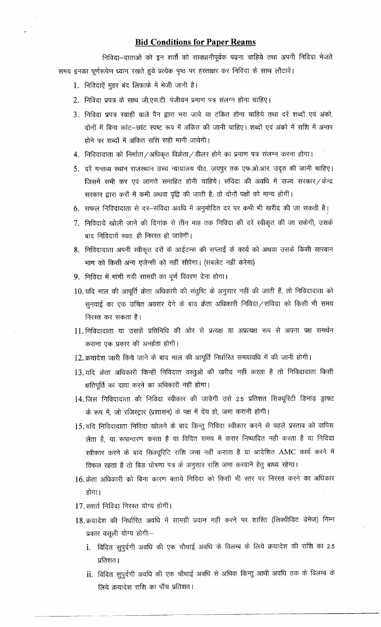### **Bid Conditions for Paper Reams**

निविदा--दाताओं को इन शर्तों को सावधानीपूर्वक पढ़ना चाहिये तथा अपनी निविदा भेजते समय इनका पूर्णरूपेण ध्यान रखते हुये प्रत्येक पृष्ठ पर हस्ताक्षर कर निविदा के साथ लौटावें।

- 1. निविदाऐं मुहर बंद लिफाफे में भेजी जानी है।
- 2. निविदा प्रपत्र के साथ जी.एस.टी. पंजीयन प्रमाण पत्र संलग्न होना चाहिए।
- 3. निविदा प्रपत्र स्याही वाले पैन द्वारा भरा जावे या टंकित होना चाहिये तथा दरें शब्दों एवं अंको, दोनों में बिना कांट-छांट स्पष्ट रूप में अंकित की जानी चाहिए। शब्दों एवं अंको में राशि में अन्तर होने पर शब्दों में अंकित राशि सही मानी जावेगी।
- 4. निविदादाता को निर्माता/अधिकृत विक्रेता/डीलर होने का प्रमाण पत्र संलग्न करना होगा।
- 5. दरें गन्तव्य स्थान राजस्थान उच्च न्यायालय पीठ, जयपुर तक एफ.ओ.आर. उदृत की जानी चाहिए। जिसमें सभी कर एवं लागते समाहित होनी चाहिये। संविदा की अवधि में राज्य सरकार/केन्द्र सरकार द्वारा करों में कमी अथवा वृद्वि की जाती है, तो दोनों पक्षों को मान्य होगीं।
- 6. सफल निविदादाता से दर-संविदा अवधि में अनुमोदित दर पर कभी भी खरीद की जा सकती है।
- 7. निविदायें खोली जाने की दिनांक से तीन माह तक निविदा की दरें स्वीकृत की जा सकेगी, उसके बाद निविदायें स्वतः ही निरस्त हो जावेगी।
- 8. निविदादाता अपनी स्वीकृत दरों के आईटम्स की सप्लाई के कार्य को अथवा उसके किसी सारवान भाग को किसी अन्य एजेन्सी को नहीं सौपेंगा। (सबलेट नहीं करेगा)
- 9. निविदा में मांगी गयी सामग्री का पूर्ण विवरण देना होगा।
- 10. यदि माल की आपूर्ति क्रेता अधिकारी की संतुष्टि के अनुसार नहीं की जाती हैं, तो निविदादाता को सुनवाई का एक उचित अवसर देने के बाद क्रेता अधिकारी निविदा ⁄ संविदा को किसी भी समय निरस्त कर सकता है।
- 11. निविदादाता या उसके प्रतिनिधि की ओर से प्रत्यक्ष या अप्रत्यक्ष रूप से अपना पक्ष समर्थन कराना एक प्रकार की अनर्हता होगी।
- 12. क्रयादेश जारी किये जाने के बाद माल की आपूर्ति निर्धारित समयावधि में की जानी होगी।
- 13. यदि क्रेता अधिकारी किन्हीं निविदत्त वस्तुओं की खरीद नहीं करता है तो निविदादाता किसी क्षतिपूर्ति का दावा करने का अधिकारी नहीं होगा।
- 14. जिस निविदादाता की निविदा स्वीकार की जावेगी उसे 2.5 प्रतिशत सिक्यूरिटी डिमांड़ ड्राफ्ट के रूप में, जो रजिस्ट्रार (प्रशासन) के पक्ष में देय हो, जमा करानी होगी।
- 15.यदि निविदादाता निविदा खोलने के बाद किन्तु निविदा स्वीकार करने से पहले प्रस्ताव को वापिस लेता है, या रूपान्तरण करता है या विदित समय में करार निष्पादित नही करता है या निविदा स्वीकार करने के बाद सिक्यूरिटि राशि जमा नहीं कराता है या आदेशित AMC कार्य करने में विफल रहता है तो बिड घोषणा पत्र के अनुसार राशि जमा करवाने हेतु बाध्य रहेगा।
- 16. क्रेता अधिकारी को बिना कारण बताये निविदा को किसी भी स्तर पर निरस्त करने का अधिकार होगा।
- 17. सशर्त निविदा निरस्त योग्य होगी।
- 18. क्रयादेश की निर्धारित अवधि में सामग्री प्रदान नहीं करने पर शास्ति (लिक्वीडिट डेमेज) निम्न प्रकार वसूली योग्य होगी:
	- i. विदित सुपूर्दगी अवधि की एक चौथाई अवधि के विलम्ब के लिये क्रयादेश की राशि का 2.5 प्रतिशत ।
	- ii. विदित सुपुर्दगी अवधि की एक चौथाई अवधि से अधिक किन्तु आधी अवधि तक के विलम्ब के लिये क्रयादेश राशि का पाँच प्रतिशत।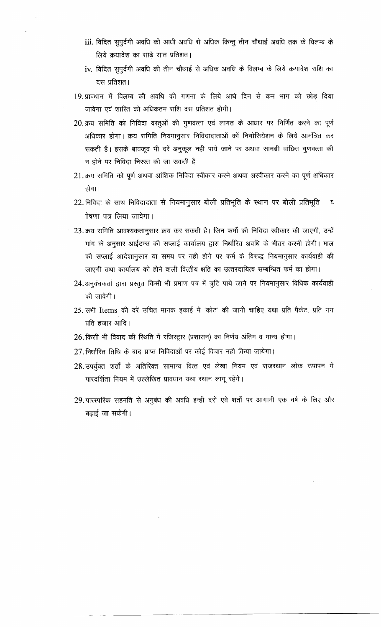- iii. विदित सुपुर्दगी अवधि की आधी अवधि से अधिक किन्तु तीन चौथाई अवधि तक के विलम्ब के लिये क्रयादेश का साढे सात प्रतिशत।
- iv. विदित सुपुर्दगी अवधि की तीन चौथाई से अधिक अवधि के विलम्ब के लिये क्रयादेश राशि का दस प्रतिशत।
- 19. प्रावधान में विलम्ब की अवधि की गणना के लिये आधे दिन से कम भाग को छोड़ दिया जावेगा एवं शास्ति की अधिकतम राशि दस प्रतिशत होगी।
- 20. क्रय समिति को निविदा वस्तुओं की गुणवत्ता एवं लागत के आधार पर निर्णित करने का पूर्ण अधिकार होगा। क्रय समिति नियमानुसार निविदादाताओं कों निगोसियेशन के लिये आमंत्रित कर सकती है। इसके बावजूद भी दरें अनुकूल नही पाये जाने पर अथवा सामग्री वांछित गुणवत्ता की न होने पर निविदा निरस्त की जा सकती है।
- 21. क्रय समिति को पूर्ण अथवा आंशिक निविदा स्वीकार करने अथवा अस्वीकार करने का पूर्ण अधिकार होगा।
- 22. निविदा के साथ निविदादाता से नियमानुसार बोली प्रतिभूति के स्थान पर बोली प्रतिभूति  $\boldsymbol{\epsilon}$ गेषणा पत्र लिया जावेगा।
- 23. क्रय समिति आवश्यकतानुसार क्रय कर सकती है। जिन फर्मों की निविदा स्वीकार की जाएगी, उन्हें मांग के अनुसार आईटम्स की सप्लाई कार्यालय द्वारा निर्धारित अवधि के भीतर करनी होगी। माल की सप्लाई आदेशानुसार या समय पर नही होने पर फर्म के विरूद्ध नियमानुसार कार्यवाही की जाएगी तथा कार्यालय को होने वाली वित्तीय क्षति का उत्तरदायित्व सम्बन्धित फर्म का होगा।
- 24. अनुबंधकर्ता द्वारा प्रस्तुत किसी भी प्रमाण पत्र में त्रूटि पाये जाने पर नियमानुसार विधिक कार्यवाही की जावेगी।
- 25. सभी Items की दरें उचित मानक इकाई में 'कोट' की जानी चाहिए यथा प्रति पैकेट, प्रति नग प्रति हजार आदि।
- 26. किसी भी विवाद की स्थिति में रजिस्ट्रार (प्रशासन) का निर्णय अंतिम व मान्य होगा।
- $27.$  निर्धारित तिथि के बाद प्राप्त निविदाओं पर कोई विचार नही किया जायेगा।
- 28. उपर्यूक्त शर्तों के अतिरिक्त सामान्य वित्त एवं लेखा नियम एवं राजस्थान लोक उपापन में पारदर्शिता नियम में उल्लेखित प्रावधान यथा स्थान लागू रहेंगे।
- 29. पारस्परिक सहमति से अनुबंध की अवधि इन्हीं दरों एवे शर्तों पर आगामी एक वर्ष के लिए और बढाई जा सकेगी।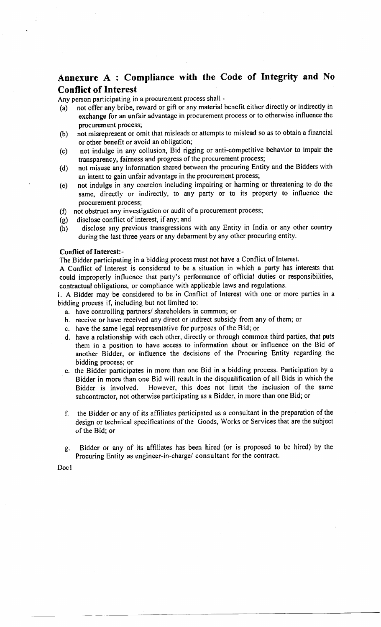## Annexure A : Compliance with the Code of Integrity and No Conflict of Interest

Any person participating in a procurement process shall -

- (a) not offer any bribe, reward or gift or any material benefit either directly or indirectly in exchange for an unfair advantage in procurement process or to otherwise influence the procurement process;
- (b) not rnisrepresent or omit that misleads or atternpts to mislead so as to obtain a financial or other benefit or avoid an obligation;
- (c) not indulge in any collusion, Bid rigging or anti-competitive behavior to impair the transparency, fairness and progress of the procurement process;
- (d) not misuse any information shared between the procuring Entity and the Bidders with an intent to gain unfair advantage in the procurement process;
- (e) not indulge in any coercion including impairing or harming or threatening to do the same, directly or indirectly, to any party or to its property to influence the procurement process;
- (f) not obstruct any investigation or audit of a procurement process;
- (g) disclose conflict of interest, if any; and
- (h) disclose any previous transgressions with any Entity in lndia or any other country during the last three years or any debarment by any other procuring entity.

#### Conflict of Interest:-

The Bidder participating in a bidding process must not have a Conflict of Interest.

A Conflict of Interest is considered to be a situation in which a party has interests that could improperly influence that party's performance of official duties or responsibilities, contractual obligations, or compliance with applicable laws and regulations.

i. A Bidder may be considered to be in Conflict of Interest with one or more parties in a bidding process if, including but not limited to:

- a. have controlling partners/ shareholders in common; or
- b. receive or have received any direct or indirect subsidy from any of thern; or
- c. have the same legal representative for purposes of the Bid; or
- d. have a relationship with each other, directly or through common third parties, that puts them in a position to have access to information about or influence on the Bid of another Bidder, or influence the decisions of the Procuring Entity regarding the bidding process; or
- e. the Bidder participates in more than one Bid in a bidding process. Participation by <sup>a</sup> Bidder in more than one Bid will result in the disqualification of all Bids in which the Bidder is involved. However, this does not limit the inclusion of the same subcontractor, not otherwise participating as a Bidder, in more than one Bid; or
- f, the Bidder or any of its al'filiates participated as a consultant in the preparation of the design or technical specifications of the Goods, Works or Services that are the subject of the Bid; or
- g. Bidder or any of its affiliates has been hired (or is proposed to be hired) by the Procuring Entity as engineer-in-charge/ consultant for the contract,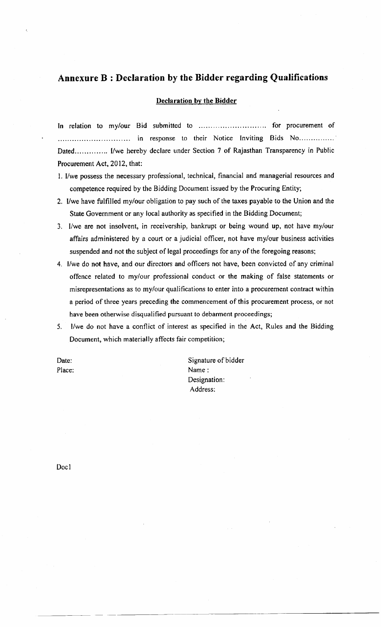## Annexure B : Declaration by the Bidder regarding Qualifications

#### Declaration by the Bidder

In relation to my/our Bid submitted to .............................. for procurement of ;;;, ,\*.;.J,::'#":,:-,:H"'.;TJ::.i,;: r:[-]'; ,nruo',. Procurement Act, 2012, that:

- l. I/we possess the necessary professional, technical, financial and managerial resources and competence required by the Bidding Document issued by the Procuring Entity;
- 2. l/we have fulfilled mylour obligation to pay such of the taxes payable to the Union and the State Government or any local authority as specified in the Bidding Document;
- 3, I/we are not insolvent, in receivership, bankrupt or being wound up, not have my/our affairs administered by a court or a judicial officer, not have my/our business activities suspended and not the subject of legal proceedings for any of the foregoing reasons;
- 4. I/we do not have, and our directors and officers not have, been convicted of any criminal offence related to my/our professional conduct or the making of false statements or misrepresentations as to my/our qualifications to enter into a procurement contract within a period of three years preceding the commencement of this procurement process, or not have been otherwise disqualified pursuant to debarment proceedings;
- 5. l/we do not have a conflict of interest as specified in the Act, Rules and the Bidding Document, which materially affects fair competition;

Date: Place: Signature of bidder Name: Designation: Address: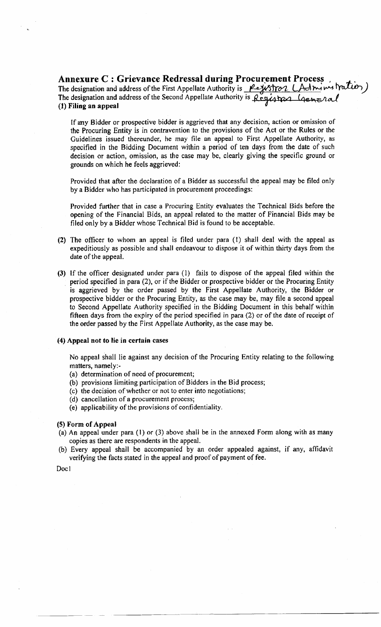Annexure C : Grievance Redressal during Procurement Process. The designation and address of the First Appellate Authority is <u>Perustron (Admin</u> The designation and address of the Second Appellate Authority is (l) Filing an appeal

If any Bidder or prospective bidder is aggrieved that any decision, action or omission of the Procuring Entity is in contravention to the provisions of the Act or the Rules or the Guidelines issued thereunder, he may file an appeal to First Appellate Authority, as specified in the Bidding Document within a period of ten days from the date of such decision or action, omission, as the case may be, clearly giving the specific ground or grounds on which he feels aggrieved:

Provided that after the declaration of a Bidder as successful the appeal may be filed only by a Bidder who has participated in procurement proceedings:

Provided further that in case a Procuring Entity evaluates the Technical Bids before the opening of the Financial Bids, an appeal related to the matter of Financial Bids may be filed only by a Bidder whose Technical Bid is found to be acceptable.

- (2) The officer to whom an appeal is fited under para (l) shall deal with the appeal as expeditiously as possible and shall endeavour to dispose it of within thirty days from the date of the appeal.
- (3) If the officer designated under para (1) fails to dispose of the appeal filed within the period specified in para (2), or if the Bidder or prospective bidder or the Procuring Entity is aggrieved by the order passed by the First Appellate Authority, the Bidder or prospective bidder or the Procuring Entity, as the case may be, may file a second appeal to Second Appellate Authority specified in the Bidding Document in this behalf within fifteen days from the expiry of the period specified in para (2) or of the date of receipt of the order passed by the First Appellate Authority, as the case may be.

#### (4) Appeal not to lie in certain cases

No appeal shall lie against any decision of the Procuring Entity relating to the following matters, namely:-

- (a) determination of need of procurement;
- (b) provisions limiting participation of Bidders in the Bid process;
- (c) the decision of whether or not to enter into negotiations;
- (d) cancellation of a procurement process;
- (e) applicability of the provisions of confidentiality.

#### (5) Form of Appeal

- (a) An appeal under para (l) or (3) above shall be in the annexed Forrn along with as many copies as there are respondents in the appeal.
- (b) Every appeal shall be accompanied by an order appealed against, if any, affidavit verifying the facts stated in the appeal and proof of payment of fee.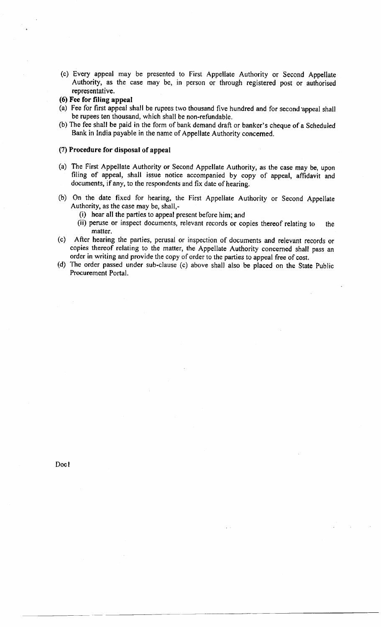- (c) Every appeal may be presented to First Appellate Authority or Second Appellate Authority, as the case may be, in person or through registered post or authorised representative.
- (6) Fee for filing appeal
- (a) Fee for first appeal shall be rupees two thousand five hundred and for second'appeal shall be rupees ten thousand, which shall be non-refundable.
- (b) The fee shall be paid in the form of bank demand draft or banker's cheque of a Scheduled Bank in India payable in the name of Appellate Authority concerned.

#### (7) Procedure for disposal of appeal

- (a) The First Appellate Authority or Second Appellate Authority, as the case may be, upon filing of appeal, shall issue notice accompanied by copy of appeal, affidavit and documents, if any, to the respondents and fix date of hearing.
- (b) On the date fixed for hearing, the First Appellate Authority or Second Appellate Authority, as the case may be, shall,-
	- (i) hear all the parties to appeal present before him; and
	- (ii) peruse or inspect documents, relevant records or copies thereof relating to the matter.
- (c) After hearing the parties, perusal or inspection of documents and relevant records or copies thereof relating to the matter, the Appellate Authority concerned shall pass an order in writing and provide the copy of order to the parties to appeal free of cost.
- (d) The order passed under sub-clause (c) above shall also be placed on rhe State Public Procurement Portal.

Doc1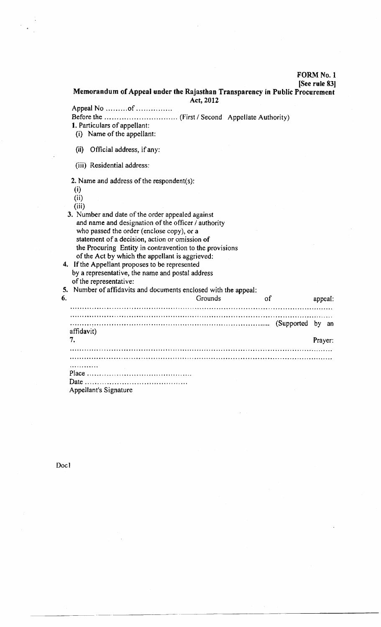#### FORM No. I

#### [See rule 83]

Memorandum of Appeal under the Rajasthan Transparency in Public Procurement Act, 2012

Appeal No ..........of ................

Before the ... .. . (First / Second Appellate Authority)

l. Particulars of appellant:

- (i) Name of the appellant:
- (ii) Official address, if any:
- (iii) Residential address:

2. Name and address of the respondent(s):

- (i)
- $(ii)$

(iii)

- 3. Number and date of the order appealed against and name and designation of the officer / authority who passed the order (enclose copy), or a statement of a decision, action or omission of the Procuring Entity in contravention to the provisions of the Act by which the appellant is aggrieved: 4. If the Appellant proposes to be represented
- by a representative, the name and postal address of the representative:

| 6. | 5. Number of affidavits and documents enclosed with the appeal: | of | appeal: |         |
|----|-----------------------------------------------------------------|----|---------|---------|
|    | affidavit)                                                      |    |         |         |
|    |                                                                 |    |         | Prayer: |
|    |                                                                 |    |         |         |
|    |                                                                 |    |         |         |
|    |                                                                 |    |         |         |
|    |                                                                 |    |         |         |
|    | Appellant's Signature                                           |    |         |         |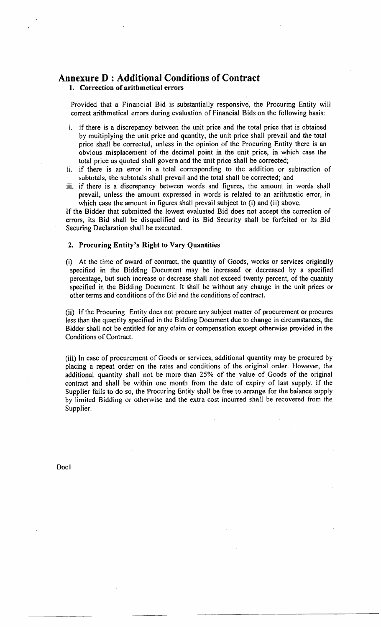## Annexure I) : Additional Conditions of Contract

1. Correction of arithmetical errors

Provided that a Financial Bid is substantially responsive, the Procuring Entity will correct arithmetical errors during evaluation of Financial Bids on the following basis:

- i. if there is a discrepancy between the unit price and the total price that is obtained by multiplying the unit price and quantity, the unit price shall prevail and the total price shall be corrected, unless in the opinion of the Procuring Entity there is an obvious misplacement of the decimal point in the unit price, in which case the total price as quoted shall govern and the unit price shall be corrected;
- if there is an error in a total corresponding to the addition or subtraction of subtotals, the subtotals shall prevail and the total shall be corrected; and
- iii. if there is a discrepancy between words and figures, the amount in words shall prevail, unless the amount expressed in words is related to an arithmetic error, in which case the amount in figures shall prevail subject to (i) and (ii) above.

If the Bidder that submitted the lowest evaluated Bid does not accept the correction of errors, its Bid shall be disqualified and its Bid Security shall be forfeited or its Bid Securing Declaration shall be executed.

#### 2. Procuring Entity's Right to Vary Quantities

(i) At the time of award of contract, the quantity of Goods, works or services originally specified in the Bidding Document may be increased or decreased by a specified percentage, but such increase or decrease shall not exceed twenty percent, of the quantity specified in the Bidding Document, It shall be without any change in the unit prices or other terms and conditions of the Bid and the conditions of contract.

(ii) If the Procuring Entity does not procure any subject matter of procurement or procures less than the quantity specified in the Bidding Document due to change in circumstances, the Bidder shall not be entitled for any claim or compensation except otherwise provided in the Conditions of Contract.

(iii) In case of procurement of Goods or services, additional quantity may be procured by placing a repeat order on the rates and conditions of the original order. However, the additional quantity shall not be more than 25% of the value of Goods of the original contract and shall be within one month from the date of expiry of last supply. If the Supplier fails to do so, the Procuring Entity shall be free to arrange for the balance supply by limited Bidding or otherwise and the extra cost incurred shall be recovered from the Supplier.